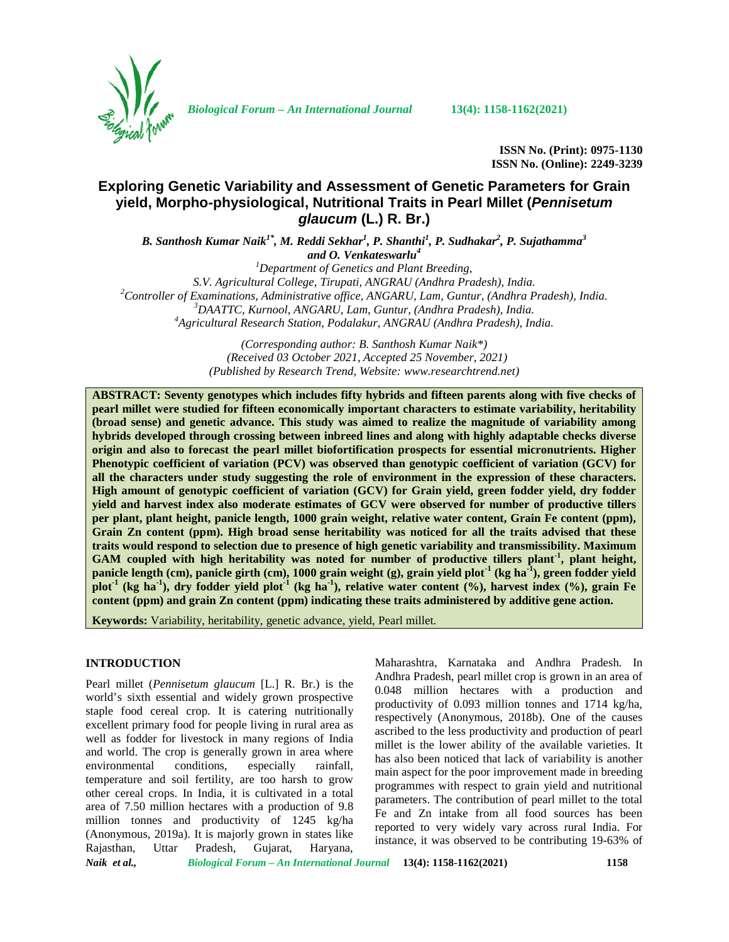

*Biological Forum – An International Journal* **13(4): 1158-1162(2021)**

**ISSN No. (Print): 0975-1130 ISSN No. (Online): 2249-3239**

# **Exploring Genetic Variability and Assessment of Genetic Parameters for Grain yield, Morpho-physiological, Nutritional Traits in Pearl Millet (***Pennisetum glaucum* **(L.) R. Br.)**

*B. Santhosh Kumar Naik1\* , M. Reddi Sekhar<sup>1</sup> , P. Shanthi<sup>1</sup> , P. Sudhakar<sup>2</sup> , P. Sujathamma<sup>3</sup> and O. Venkateswarlu<sup>4</sup>*

*<sup>1</sup>Department of Genetics and Plant Breeding,* S.V. Agricultural College, Tirupati, ANGRAU (Andhra Pradesh), India.<br><sup>2</sup>Controller of Examinations, Administrative office, ANGARU, Lam, Guntur, (Andhra Pradesh), India.<br><sup>3</sup>DAATTC, Kurnool, ANGARU, Lam, Guntur, (Andhra Prad

> *(Corresponding author: B. Santhosh Kumar Naik\*) (Received 03 October 2021, Accepted 25 November, 2021) (Published by Research Trend, Website: [www.researchtrend.net\)](www.researchtrend.net)*

**ABSTRACT: Seventy genotypes which includes fifty hybrids and fifteen parents along with five checks of pearl millet were studied for fifteen economically important characters to estimate variability, heritability (broad sense) and genetic advance. This study was aimed to realize the magnitude of variability among hybrids developed through crossing between inbreed lines and along with highly adaptable checks diverse origin and also to forecast the pearl millet biofortification prospects for essential micronutrients. Higher Phenotypic coefficient of variation (PCV) was observed than genotypic coefficient of variation (GCV) for all the characters under study suggesting the role of environment in the expression of these characters. High amount of genotypic coefficient of variation (GCV) for Grain yield, green fodder yield, dry fodder yield and harvest index also moderate estimates of GCV were observed for number of productive tillers per plant, plant height, panicle length, 1000 grain weight, relative water content, Grain Fe content (ppm), Grain Zn content (ppm). High broad sense heritability was noticed for all the traits advised that these traits would respond to selection due to presence of high genetic variability and transmissibility. Maximum GAM coupled with high heritability was noted for number of productive tillers plant-1 , plant height, panicle length (cm), panicle girth (cm), 1000 grain weight (g), grain yield plot-1 (kg ha-1), green fodder yield plot-1 (kg ha-1), dry fodder yield plot-1 (kg ha-1), relative water content (%), harvest index (%), grain Fe content (ppm) and grain Zn content (ppm) indicating these traits administered by additive gene action.**

**Keywords:** Variability, heritability, genetic advance, yield, Pearl millet.

#### **INTRODUCTION**

Pearl millet (*Pennisetum glaucum* [L.] R. Br.) is the world's sixth essential and widely grown prospective staple food cereal crop. It is catering nutritionally excellent primary food for people living in rural area as well as fodder for livestock in many regions of India and world. The crop is generally grown in area where environmental conditions, especially rainfall, temperature and soil fertility, are too harsh to grow other cereal crops. In India, it is cultivated in a total area of 7.50 million hectares with a production of 9.8 million tonnes and productivity of 1245 kg/ha (Anonymous, 2019a). It is majorly grown in states like Rajasthan, Uttar Pradesh, Gujarat, Haryana,

Maharashtra, Karnataka and Andhra Pradesh. In Andhra Pradesh, pearl millet crop is grown in an area of 0.048 million hectares with a production and productivity of 0.093 million tonnes and 1714 kg/ha, respectively (Anonymous, 2018b). One of the causes ascribed to the less productivity and production of pearl millet is the lower ability of the available varieties. It has also been noticed that lack of variability is another main aspect for the poor improvement made in breeding programmes with respect to grain yield and nutritional parameters. The contribution of pearl millet to the total Fe and Zn intake from all food sources has been reported to very widely vary across rural India. For instance, it was observed to be contributing 19-63% of

*Naik et al., Biological Forum – An International Journal* **13(4): 1158-1162(2021) 1158**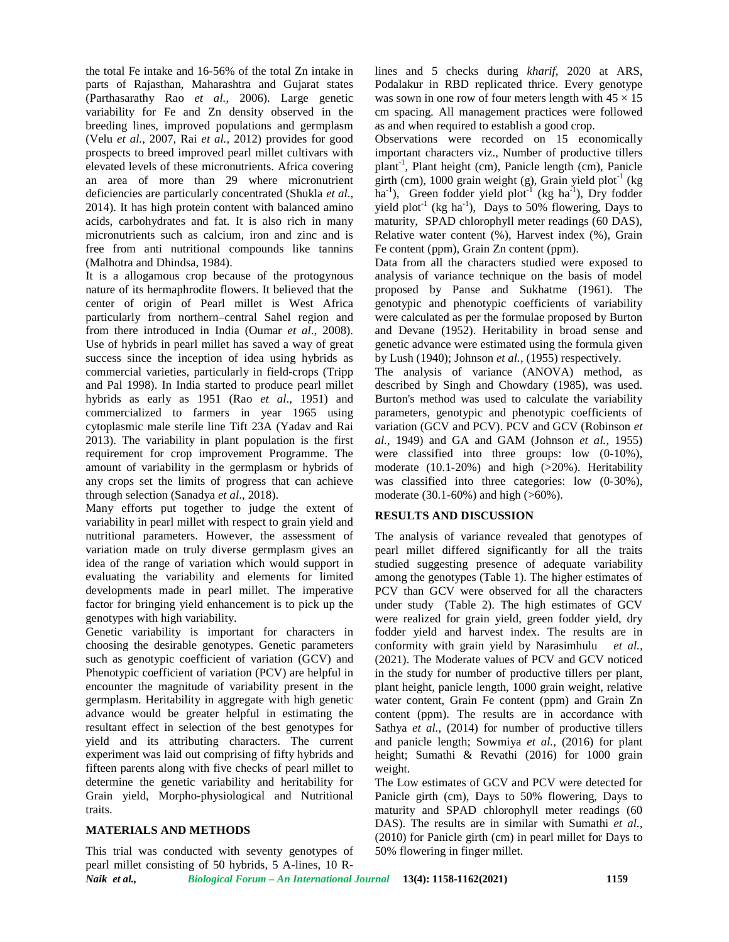the total Fe intake and 16-56% of the total Zn intake in parts of Rajasthan, Maharashtra and Gujarat states (Parthasarathy Rao *et al.,* 2006). Large genetic variability for Fe and Zn density observed in the breeding lines, improved populations and germplasm (Velu *et al.,* 2007, Rai *et al.,* 2012) provides for good prospects to breed improved pearl millet cultivars with elevated levels of these micronutrients. Africa covering an area of more than 29 where micronutrient deficiencies are particularly concentrated (Shukla *et al*., 2014). It has high protein content with balanced amino acids, carbohydrates and fat. It is also rich in many micronutrients such as calcium, iron and zinc and is free from anti nutritional compounds like tannins (Malhotra and Dhindsa, 1984).

It is a allogamous crop because of the protogynous nature of its hermaphrodite flowers. It believed that the center of origin of Pearl millet is West Africa particularly from northern–central Sahel region and from there introduced in India (Oumar *et al*., 2008). Use of hybrids in pearl millet has saved a way of great success since the inception of idea using hybrids as commercial varieties, particularly in field-crops (Tripp and Pal 1998). In India started to produce pearl millet hybrids as early as 1951 (Rao *et al*., 1951) and commercialized to farmers in year 1965 using cytoplasmic male sterile line Tift 23A (Yadav and Rai 2013). The variability in plant population is the first requirement for crop improvement Programme. The amount of variability in the germplasm or hybrids of any crops set the limits of progress that can achieve through selection (Sanadya *et al*., 2018).

Many efforts put together to judge the extent of variability in pearl millet with respect to grain yield and nutritional parameters. However, the assessment of variation made on truly diverse germplasm gives an idea of the range of variation which would support in evaluating the variability and elements for limited developments made in pearl millet. The imperative factor for bringing yield enhancement is to pick up the genotypes with high variability.

Genetic variability is important for characters in choosing the desirable genotypes. Genetic parameters such as genotypic coefficient of variation (GCV) and Phenotypic coefficient of variation (PCV) are helpful in encounter the magnitude of variability present in the germplasm. Heritability in aggregate with high genetic advance would be greater helpful in estimating the resultant effect in selection of the best genotypes for yield and its attributing characters. The current experiment was laid out comprising of fifty hybrids and fifteen parents along with five checks of pearl millet to determine the genetic variability and heritability for Grain yield, Morpho-physiological and Nutritional traits.

# **MATERIALS AND METHODS**

This trial was conducted with seventy genotypes of pearl millet consisting of 50 hybrids, 5 A-lines, 10 R- lines and 5 checks during *kharif,* 2020 at ARS, Podalakur in RBD replicated thrice. Every genotype was sown in one row of four meters length with  $45 \times 15$ cm spacing. All management practices were followed as and when required to establish a good crop.

Observations were recorded on 15 economically important characters viz., Number of productive tillers plant<sup>-1</sup>, Plant height (cm), Panicle length (cm), Panicle girth (cm), 1000 grain weight (g), Grain yield  $plot<sup>-1</sup>$  (kg ha<sup>-1</sup>), Green fodder yield plot<sup>-1</sup> (kg ha<sup>-1</sup>), Dry fodder yield plot<sup>-1</sup> (kg ha<sup>-1</sup>), Days to 50% flowering, Days to maturity, SPAD chlorophyll meter readings (60 DAS), Relative water content (%), Harvest index (%), Grain Fe content (ppm), Grain Zn content (ppm).

Data from all the characters studied were exposed to analysis of variance technique on the basis of model proposed by Panse and Sukhatme (1961). The genotypic and phenotypic coefficients of variability were calculated as per the formulae proposed by Burton and Devane (1952). Heritability in broad sense and genetic advance were estimated using the formula given by Lush (1940); Johnson *et al.,* (1955) respectively.

The analysis of variance (ANOVA) method, as described by Singh and Chowdary (1985), was used. Burton's method was used to calculate the variability parameters, genotypic and phenotypic coefficients of variation (GCV and PCV). PCV and GCV (Robinson *et al.,* 1949) and GA and GAM (Johnson *et al.,* 1955) were classified into three groups: low (0-10%), moderate (10.1-20%) and high (>20%). Heritability was classified into three categories: low (0-30%), moderate (30.1-60%) and high (>60%).

## **RESULTS AND DISCUSSION**

The analysis of variance revealed that genotypes of pearl millet differed significantly for all the traits studied suggesting presence of adequate variability among the genotypes (Table 1). The higher estimates of PCV than GCV were observed for all the characters under study (Table 2). The high estimates of GCV were realized for grain yield, green fodder yield, dry fodder yield and harvest index. The results are in conformity with grain yield by Narasimhulu *et al.,* (2021). The Moderate values of PCV and GCV noticed in the study for number of productive tillers per plant, plant height, panicle length, 1000 grain weight, relative water content, Grain Fe content (ppm) and Grain Zn content (ppm). The results are in accordance with Sathya *et al.,* (2014) for number of productive tillers and panicle length; Sowmiya *et al.,* (2016) for plant height; Sumathi & Revathi (2016) for 1000 grain weight.

The Low estimates of GCV and PCV were detected for Panicle girth (cm), Days to 50% flowering, Days to maturity and SPAD chlorophyll meter readings (60 DAS). The results are in similar with Sumathi *et al.,* (2010) for Panicle girth (cm) in pearl millet for Days to 50% flowering in finger millet.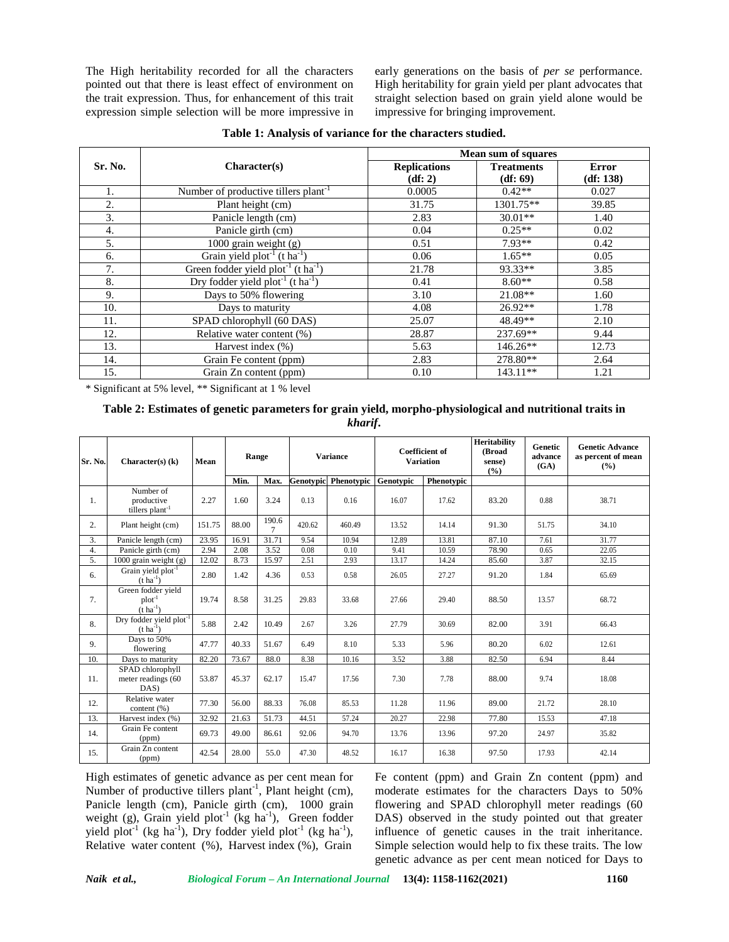The High heritability recorded for all the characters pointed out that there is least effect of environment on the trait expression. Thus, for enhancement of this trait expression simple selection will be more impressive in early generations on the basis of *per se* performance. High heritability for grain yield per plant advocates that straight selection based on grain yield alone would be impressive for bringing improvement.

|         |                                                      | <b>Mean sum of squares</b> |                   |              |  |  |
|---------|------------------------------------------------------|----------------------------|-------------------|--------------|--|--|
| Sr. No. | Character(s)                                         | <b>Replications</b>        | <b>Treatments</b> | <b>Error</b> |  |  |
|         |                                                      | (df: 2)                    | (df: 69)          | (df: 138)    |  |  |
| 1.      | Number of productive tillers plant <sup>-1</sup>     | 0.0005                     | $0.42**$          | 0.027        |  |  |
| 2.      | Plant height (cm)                                    | 31.75                      | 1301.75**         | 39.85        |  |  |
| 3.      | Panicle length (cm)                                  | 2.83                       | $30.01**$         | 1.40         |  |  |
| 4.      | Panicle girth (cm)                                   | 0.04                       | $0.25**$          | 0.02         |  |  |
| 5.      | 1000 grain weight (g)                                | 0.51                       | 7.93**            | 0.42         |  |  |
| 6.      | Grain yield $plot^{-1}$ (t ha <sup>-1</sup> )        | 0.06                       | $1.65**$          | 0.05         |  |  |
| 7.      | Green fodder yield $plot^{-1}$ (t ha <sup>-1</sup> ) | 21.78                      | 93.33**           | 3.85         |  |  |
| 8.      | Dry fodder yield $plot^{-1}$ (t ha <sup>-1</sup> )   | 0.41                       | $8.60**$          | 0.58         |  |  |
| 9.      | Days to 50% flowering                                | 3.10                       | $21.08**$         | 1.60         |  |  |
| 10.     | Days to maturity                                     | 4.08                       | $26.92**$         | 1.78         |  |  |
| 11.     | SPAD chlorophyll (60 DAS)                            | 25.07                      | 48.49**           | 2.10         |  |  |
| 12.     | Relative water content $(\%)$                        | 28.87                      | 237.69**          | 9.44         |  |  |
| 13.     | Harvest index (%)                                    | 5.63                       | $146.26**$        | 12.73        |  |  |
| 14.     | Grain Fe content (ppm)                               | 2.83                       | 278.80**          | 2.64         |  |  |
| 15.     | Grain Zn content (ppm)                               | 0.10                       | 143.11**          | 1.21         |  |  |

**Table 1: Analysis of variance for the characters studied.**

\* Significant at 5% level, \*\* Significant at 1 % level

## **Table 2: Estimates of genetic parameters for grain yield, morpho-physiological and nutritional traits in** *kharif***.**

| Sr. No.          | Character $(s)$ $(k)$                                        | Mean   | Range |                 | <b>Variance</b> |                             | <b>Coefficient of</b><br><b>Variation</b> |            | <b>Heritability</b><br>(Broad<br>sense)<br>(%) | <b>Genetic</b><br>advance<br>(GA) | <b>Genetic Advance</b><br>as percent of mean<br>$($ %) |
|------------------|--------------------------------------------------------------|--------|-------|-----------------|-----------------|-----------------------------|-------------------------------------------|------------|------------------------------------------------|-----------------------------------|--------------------------------------------------------|
|                  |                                                              |        | Min.  | Max.            |                 | <b>Genotypic</b> Phenotypic | Genotypic                                 | Phenotypic |                                                |                                   |                                                        |
| 1.               | Number of<br>productive<br>tillers plant <sup>-1</sup>       | 2.27   | 1.60  | 3.24            | 0.13            | 0.16                        | 16.07                                     | 17.62      | 83.20                                          | 0.88                              | 38.71                                                  |
| 2.               | Plant height (cm)                                            | 151.75 | 88.00 | 190.6<br>$\tau$ | 420.62          | 460.49                      | 13.52                                     | 14.14      | 91.30                                          | 51.75                             | 34.10                                                  |
| $\overline{3}$ . | Panicle length (cm)                                          | 23.95  | 16.91 | 31.71           | 9.54            | 10.94                       | 12.89                                     | 13.81      | 87.10                                          | 7.61                              | 31.77                                                  |
| 4.               | Panicle girth (cm)                                           | 2.94   | 2.08  | 3.52            | 0.08            | 0.10                        | 9.41                                      | 10.59      | 78.90                                          | 0.65                              | 22.05                                                  |
| 5.               | 1000 grain weight (g)                                        | 12.02  | 8.73  | 15.97           | 2.51            | 2.93                        | 13.17                                     | 14.24      | 85.60                                          | 3.87                              | 32.15                                                  |
| 6.               | Grain yield plot <sup>-1</sup><br>$(t \text{ ha}^{-1})$      | 2.80   | 1.42  | 4.36            | 0.53            | 0.58                        | 26.05                                     | 27.27      | 91.20                                          | 1.84                              | 65.69                                                  |
| 7.               | Green fodder vield<br>$plot^{-1}$<br>$(t \, ha^{-1})$        | 19.74  | 8.58  | 31.25           | 29.83           | 33.68                       | 27.66                                     | 29.40      | 88.50                                          | 13.57                             | 68.72                                                  |
| 8.               | Dry fodder yield plot <sup>-1</sup><br>$(t \text{ ha}^{-1})$ | 5.88   | 2.42  | 10.49           | 2.67            | 3.26                        | 27.79                                     | 30.69      | 82.00                                          | 3.91                              | 66.43                                                  |
| 9.               | Days to 50%<br>flowering                                     | 47.77  | 40.33 | 51.67           | 6.49            | 8.10                        | 5.33                                      | 5.96       | 80.20                                          | 6.02                              | 12.61                                                  |
| 10.              | Days to maturity                                             | 82.20  | 73.67 | 88.0            | 8.38            | 10.16                       | 3.52                                      | 3.88       | 82.50                                          | 6.94                              | 8.44                                                   |
| 11.              | SPAD chlorophyll<br>meter readings (60<br>DAS)               | 53.87  | 45.37 | 62.17           | 15.47           | 17.56                       | 7.30                                      | 7.78       | 88.00                                          | 9.74                              | 18.08                                                  |
| 12.              | Relative water<br>content (%)                                | 77.30  | 56.00 | 88.33           | 76.08           | 85.53                       | 11.28                                     | 11.96      | 89.00                                          | 21.72                             | 28.10                                                  |
| 13.              | Harvest index (%)                                            | 32.92  | 21.63 | 51.73           | 44.51           | 57.24                       | 20.27                                     | 22.98      | 77.80                                          | 15.53                             | 47.18                                                  |
| 14.              | Grain Fe content<br>(ppm)                                    | 69.73  | 49.00 | 86.61           | 92.06           | 94.70                       | 13.76                                     | 13.96      | 97.20                                          | 24.97                             | 35.82                                                  |
| 15.              | Grain Zn content<br>(ppm)                                    | 42.54  | 28.00 | 55.0            | 47.30           | 48.52                       | 16.17                                     | 16.38      | 97.50                                          | 17.93                             | 42.14                                                  |

High estimates of genetic advance as per cent mean for Number of productive tillers plant<sup>-1</sup>, Plant height (cm), Panicle length (cm), Panicle girth (cm), 1000 grain weight (g), Grain yield plot<sup>-1</sup> (kg ha<sup>-1</sup>), Green fodder yield plot<sup>-1</sup> (kg ha<sup>-1</sup>), Dry fodder yield plot<sup>-1</sup> (kg ha<sup>-1</sup>), Relative water content (%), Harvest index (%), Grain

Fe content (ppm) and Grain Zn content (ppm) and moderate estimates for the characters Days to 50% flowering and SPAD chlorophyll meter readings (60 DAS) observed in the study pointed out that greater influence of genetic causes in the trait inheritance. Simple selection would help to fix these traits. The low genetic advance as per cent mean noticed for Days to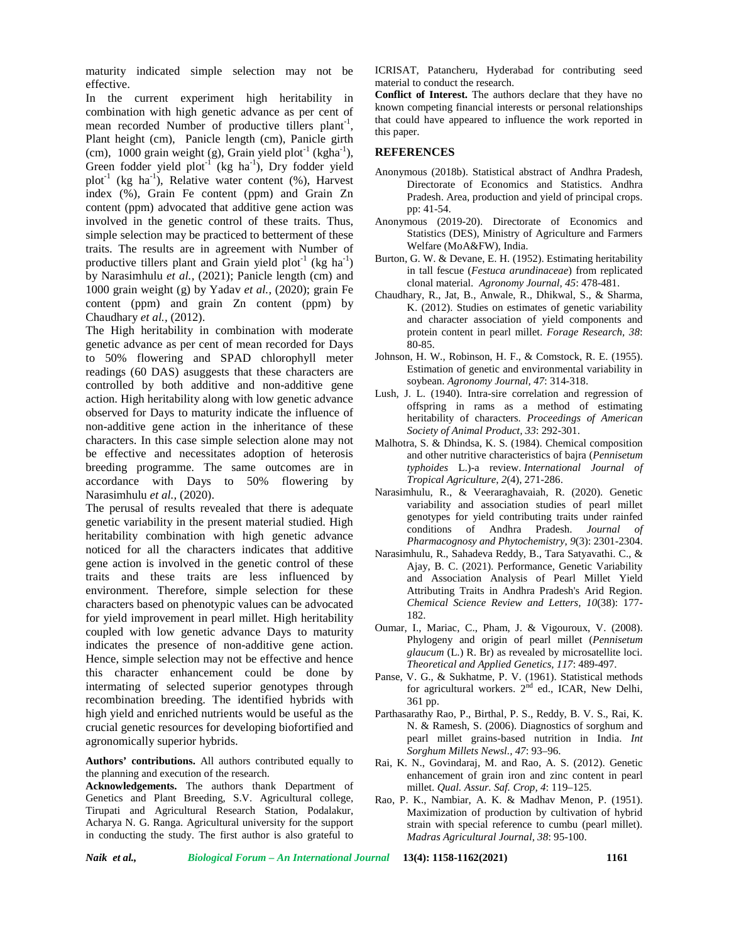maturity indicated simple selection may not be effective.

In the current experiment high heritability in combination with high genetic advance as per cent of mean recorded Number of productive tillers plant<sup>-1</sup>,  $\frac{t}{t}$ Plant height (cm), Panicle length (cm), Panicle girth (cm), 1000 grain weight (g), Grain yield plot<sup>-1</sup> (kgha<sup>-1</sup>), Green fodder yield plot<sup>-1</sup> (kg ha<sup>-1</sup>), Dry fodder yield plot<sup>-1</sup> (kg ha<sup>-1</sup>), Relative water content  $(\%)$ , Harvest index (%), Grain Fe content (ppm) and Grain Zn content (ppm) advocated that additive gene action was involved in the genetic control of these traits. Thus, simple selection may be practiced to betterment of these traits. The results are in agreement with Number of productive tillers plant and Grain yield plot<sup>-1</sup> (kg ha<sup>-1</sup>) by Narasimhulu *et al.,* (2021); Panicle length (cm) and 1000 grain weight (g) by Yadav *et al.,* (2020); grain Fe content (ppm) and grain Zn content (ppm) by Chaudhary *et al.,* (2012).

The High heritability in combination with moderate genetic advance as per cent of mean recorded for Days to 50% flowering and SPAD chlorophyll meter readings (60 DAS) asuggests that these characters are controlled by both additive and non-additive gene action. High heritability along with low genetic advance observed for Days to maturity indicate the influence of non-additive gene action in the inheritance of these characters. In this case simple selection alone may not be effective and necessitates adoption of heterosis breeding programme. The same outcomes are in accordance with Days to 50% flowering by Narasimhulu *et al.,* (2020).

The perusal of results revealed that there is adequate genetic variability in the present material studied. High heritability combination with high genetic advance noticed for all the characters indicates that additive gene action is involved in the genetic control of these traits and these traits are less influenced by environment. Therefore, simple selection for these characters based on phenotypic values can be advocated for yield improvement in pearl millet. High heritability coupled with low genetic advance Days to maturity indicates the presence of non-additive gene action. Hence, simple selection may not be effective and hence this character enhancement could be done by intermating of selected superior genotypes through recombination breeding. The identified hybrids with high yield and enriched nutrients would be useful as the crucial genetic resources for developing biofortified and agronomically superior hybrids.

**Authors' contributions.** All authors contributed equally to the planning and execution of the research.

**Acknowledgements.** The authors thank Department of Genetics and Plant Breeding, S.V. Agricultural college, Tirupati and Agricultural Research Station, Podalakur, Acharya N. G. Ranga. Agricultural university for the support in conducting the study. The first author is also grateful to

ICRISAT, Patancheru, Hyderabad for contributing seed material to conduct the research.

**Conflict of Interest.** The authors declare that they have no known competing financial interests or personal relationships that could have appeared to influence the work reported in this paper.

#### **REFERENCES**

- Anonymous (2018b). Statistical abstract of Andhra Pradesh, Directorate of Economics and Statistics. Andhra Pradesh. Area, production and yield of principal crops. pp: 41-54.
- Anonymous (2019-20). Directorate of Economics and Statistics (DES), Ministry of Agriculture and Farmers Welfare (MoA&FW), India.
- Burton, G. W. & Devane, E. H. (1952). Estimating heritability in tall fescue (*Festuca arundinaceae*) from replicated clonal material. *Agronomy Journal, 45*: 478-481.
- Chaudhary, R., Jat, B., Anwale, R., Dhikwal, S., & Sharma, K. (2012). Studies on estimates of genetic variability and character association of yield components and protein content in pearl millet. *Forage Research, 38*: 80-85.
- Johnson, H. W., Robinson, H. F., & Comstock, R. E. (1955). Estimation of genetic and environmental variability in soybean. *Agronomy Journal, 47*: 314-318.
- Lush, J. L. (1940). Intra-sire correlation and regression of offspring in rams as a method of estimating heritability of characters. *Proceedings of American Society of Animal Product, 33*: 292-301.
- Malhotra, S. & Dhindsa, K. S. (1984). Chemical composition and other nutritive characteristics of bajra (*Pennisetum typhoides* L.)-a review. *International Journal of Tropical Agriculture*, *2*(4), 271-286.
- Narasimhulu, R., & Veeraraghavaiah, R. (2020). Genetic variability and association studies of pearl millet genotypes for yield contributing traits under rainfed conditions of Andhra Pradesh. *Journal of Pharmacognosy and Phytochemistry*, *9*(3): 2301-2304.
- Narasimhulu, R., Sahadeva Reddy, B., Tara Satyavathi. C., & Ajay, B. C. (2021). Performance, Genetic Variability and Association Analysis of Pearl Millet Yield Attributing Traits in Andhra Pradesh's Arid Region. *Chemical Science Review and Letters, 10*(38): 177- 182.
- Oumar, I., Mariac, C., Pham, J. & Vigouroux, V. (2008). Phylogeny and origin of pearl millet (*Pennisetum glaucum* (L.) R. Br) as revealed by microsatellite loci. *Theoretical and Applied Genetics, 117*: 489-497.
- Panse, V. G., & Sukhatme, P. V. (1961). Statistical methods for agricultural workers. 2<sup>nd</sup> ed., ICAR, New Delhi, 361 pp.
- Parthasarathy Rao, P., Birthal, P. S., Reddy, B. V. S., Rai, K. N. & Ramesh, S. (2006). Diagnostics of sorghum and pearl millet grains-based nutrition in India. *Int Sorghum Millets Newsl., 47*: 93–96.
- Rai, K. N., Govindaraj, M. and Rao, A. S. (2012). Genetic enhancement of grain iron and zinc content in pearl millet. *Qual. Assur. Saf. Crop, 4*: 119–125.
- Rao, P. K., Nambiar, A. K. & Madhav Menon, P. (1951). Maximization of production by cultivation of hybrid strain with special reference to cumbu (pearl millet). *Madras Agricultural Journal*, *38*: 95-100.